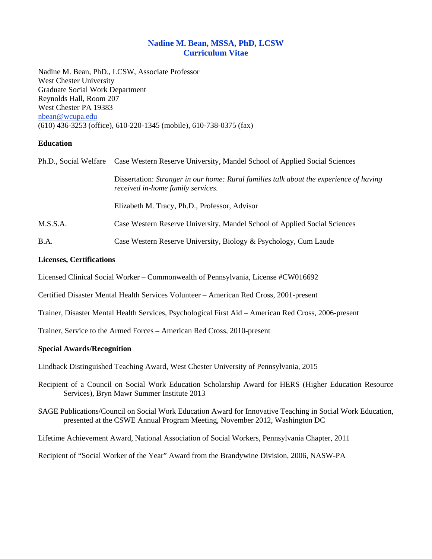# **Nadine M. Bean, MSSA, PhD, LCSW Curriculum Vitae**

Nadine M. Bean, PhD., LCSW, Associate Professor West Chester University Graduate Social Work Department Reynolds Hall, Room 207 West Chester PA 19383 nbean@wcupa.edu (610) 436-3253 (office), 610-220-1345 (mobile), 610-738-0375 (fax)

## **Education**

|          | Ph.D., Social Welfare Case Western Reserve University, Mandel School of Applied Social Sciences                             |
|----------|-----------------------------------------------------------------------------------------------------------------------------|
|          | Dissertation: Stranger in our home: Rural families talk about the experience of having<br>received in-home family services. |
|          | Elizabeth M. Tracy, Ph.D., Professor, Advisor                                                                               |
| M.S.S.A. | Case Western Reserve University, Mandel School of Applied Social Sciences                                                   |
| B.A.     | Case Western Reserve University, Biology & Psychology, Cum Laude                                                            |

## **Licenses, Certifications**

Licensed Clinical Social Worker – Commonwealth of Pennsylvania, License #CW016692

Certified Disaster Mental Health Services Volunteer – American Red Cross, 2001-present

Trainer, Disaster Mental Health Services, Psychological First Aid – American Red Cross, 2006-present

Trainer, Service to the Armed Forces – American Red Cross, 2010-present

## **Special Awards/Recognition**

Lindback Distinguished Teaching Award, West Chester University of Pennsylvania, 2015

Recipient of a Council on Social Work Education Scholarship Award for HERS (Higher Education Resource Services), Bryn Mawr Summer Institute 2013

SAGE Publications/Council on Social Work Education Award for Innovative Teaching in Social Work Education, presented at the CSWE Annual Program Meeting, November 2012, Washington DC

Lifetime Achievement Award, National Association of Social Workers, Pennsylvania Chapter, 2011

Recipient of "Social Worker of the Year" Award from the Brandywine Division, 2006, NASW-PA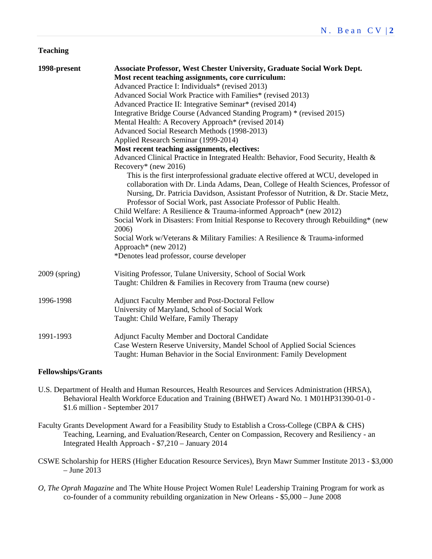#### **Teaching**

| 1998-present  | <b>Associate Professor, West Chester University, Graduate Social Work Dept.</b>                                                                                                                                                                                                                                                                                                                                                                                                                                                                                                                                                                                    |
|---------------|--------------------------------------------------------------------------------------------------------------------------------------------------------------------------------------------------------------------------------------------------------------------------------------------------------------------------------------------------------------------------------------------------------------------------------------------------------------------------------------------------------------------------------------------------------------------------------------------------------------------------------------------------------------------|
|               | Most recent teaching assignments, core curriculum:                                                                                                                                                                                                                                                                                                                                                                                                                                                                                                                                                                                                                 |
|               | Advanced Practice I: Individuals* (revised 2013)                                                                                                                                                                                                                                                                                                                                                                                                                                                                                                                                                                                                                   |
|               | Advanced Social Work Practice with Families* (revised 2013)                                                                                                                                                                                                                                                                                                                                                                                                                                                                                                                                                                                                        |
|               | Advanced Practice II: Integrative Seminar* (revised 2014)                                                                                                                                                                                                                                                                                                                                                                                                                                                                                                                                                                                                          |
|               | Integrative Bridge Course (Advanced Standing Program) * (revised 2015)                                                                                                                                                                                                                                                                                                                                                                                                                                                                                                                                                                                             |
|               | Mental Health: A Recovery Approach* (revised 2014)                                                                                                                                                                                                                                                                                                                                                                                                                                                                                                                                                                                                                 |
|               | Advanced Social Research Methods (1998-2013)                                                                                                                                                                                                                                                                                                                                                                                                                                                                                                                                                                                                                       |
|               | Applied Research Seminar (1999-2014)                                                                                                                                                                                                                                                                                                                                                                                                                                                                                                                                                                                                                               |
|               | Most recent teaching assignments, electives:                                                                                                                                                                                                                                                                                                                                                                                                                                                                                                                                                                                                                       |
|               | Advanced Clinical Practice in Integrated Health: Behavior, Food Security, Health &<br>Recovery* (new 2016)                                                                                                                                                                                                                                                                                                                                                                                                                                                                                                                                                         |
|               | This is the first interprofessional graduate elective offered at WCU, developed in<br>collaboration with Dr. Linda Adams, Dean, College of Health Sciences, Professor of<br>Nursing, Dr. Patricia Davidson, Assistant Professor of Nutrition, & Dr. Stacie Metz,<br>Professor of Social Work, past Associate Professor of Public Health.<br>Child Welfare: A Resilience & Trauma-informed Approach* (new 2012)<br>Social Work in Disasters: From Initial Response to Recovery through Rebuilding* (new<br>2006)<br>Social Work w/Veterans & Military Families: A Resilience & Trauma-informed<br>Approach* (new 2012)<br>*Denotes lead professor, course developer |
| 2009 (spring) | Visiting Professor, Tulane University, School of Social Work<br>Taught: Children & Families in Recovery from Trauma (new course)                                                                                                                                                                                                                                                                                                                                                                                                                                                                                                                                   |
|               |                                                                                                                                                                                                                                                                                                                                                                                                                                                                                                                                                                                                                                                                    |
| 1996-1998     | Adjunct Faculty Member and Post-Doctoral Fellow                                                                                                                                                                                                                                                                                                                                                                                                                                                                                                                                                                                                                    |
|               | University of Maryland, School of Social Work                                                                                                                                                                                                                                                                                                                                                                                                                                                                                                                                                                                                                      |
|               | Taught: Child Welfare, Family Therapy                                                                                                                                                                                                                                                                                                                                                                                                                                                                                                                                                                                                                              |
| 1991-1993     | <b>Adjunct Faculty Member and Doctoral Candidate</b><br>Case Western Reserve University, Mandel School of Applied Social Sciences<br>Taught: Human Behavior in the Social Environment: Family Development                                                                                                                                                                                                                                                                                                                                                                                                                                                          |

#### **Fellowships/Grants**

- U.S. Department of Health and Human Resources, Health Resources and Services Administration (HRSA), Behavioral Health Workforce Education and Training (BHWET) Award No. 1 M01HP31390-01-0 - \$1.6 million - September 2017
- Faculty Grants Development Award for a Feasibility Study to Establish a Cross-College (CBPA & CHS) Teaching, Learning, and Evaluation/Research, Center on Compassion, Recovery and Resiliency - an Integrated Health Approach - \$7,210 – January 2014
- CSWE Scholarship for HERS (Higher Education Resource Services), Bryn Mawr Summer Institute 2013 \$3,000  $-$  June 2013
- *O, The Oprah Magazine* and The White House Project Women Rule! Leadership Training Program for work as co-founder of a community rebuilding organization in New Orleans - \$5,000 – June 2008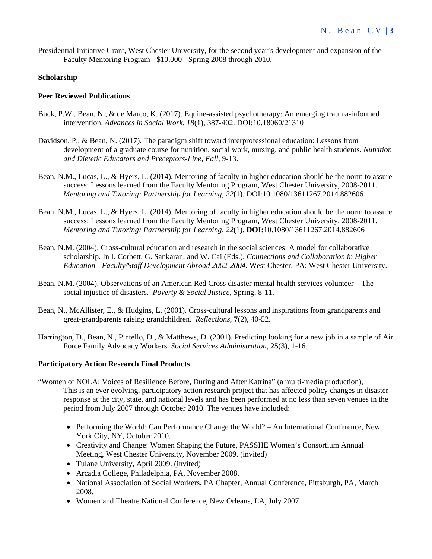Presidential Initiative Grant, West Chester University, for the second year's development and expansion of the Faculty Mentoring Program - \$10,000 - Spring 2008 through 2010.

#### **Scholarship**

#### **Peer Reviewed Publications**

- Buck, P.W., Bean, N., & de Marco, K. (2017). Equine-assisted psychotherapy: An emerging trauma-informed intervention. *Advances in Social Work, 18*(1), 387-402. DOI:10.18060/21310
- Davidson, P., & Bean, N. (2017). The paradigm shift toward interprofessional education: Lessons from development of a graduate course for nutrition, social work, nursing, and public health students. *Nutrition and Dietetic Educators and Preceptors-Line, Fall*, 9-13.
- Bean, N.M., Lucas, L., & Hyers, L. (2014). Mentoring of faculty in higher education should be the norm to assure success: Lessons learned from the Faculty Mentoring Program, West Chester University, 2008-2011. *Mentoring and Tutoring: Partnership for Learning, 22*(1). DOI:10.1080/13611267.2014.882606
- Bean, N.M., Lucas, L., & Hyers, L. (2014). Mentoring of faculty in higher education should be the norm to assure success: Lessons learned from the Faculty Mentoring Program, West Chester University, 2008-2011. *Mentoring and Tutoring: Partnership for Learning, 22*(1). **DOI:**10.1080/13611267.2014.882606
- Bean, N.M. (2004). Cross-cultural education and research in the social sciences: A model for collaborative scholarship. In I. Corbett, G. Sankaran, and W. Cai (Eds.), *Connections and Collaboration in Higher Education - Faculty/Staff Development Abroad 2002-2004*. West Chester, PA: West Chester University.
- Bean, N.M. (2004). Observations of an American Red Cross disaster mental health services volunteer The social injustice of disasters. *Poverty & Social Justice,* Spring, 8-11.
- Bean, N., McAllister, E., & Hudgins, L. (2001). Cross-cultural lessons and inspirations from grandparents and great-grandparents raising grandchildren. *Reflections*, **7**(2), 40-52.
- Harrington, D., Bean, N., Pintello, D., & Matthews, D. (2001). Predicting looking for a new job in a sample of Air Force Family Advocacy Workers. *Social Services Administration*, **25**(3), 1-16.

#### **Participatory Action Research Final Products**

- "Women of NOLA: Voices of Resilience Before, During and After Katrina" (a multi-media production), This is an ever evolving, participatory action research project that has affected policy changes in disaster response at the city, state, and national levels and has been performed at no less than seven venues in the period from July 2007 through October 2010. The venues have included:
	- Performing the World: Can Performance Change the World? An International Conference, New York City, NY, October 2010.
	- Creativity and Change: Women Shaping the Future, PASSHE Women's Consortium Annual Meeting, West Chester University, November 2009. (invited)
	- Tulane University, April 2009. (invited)
	- Arcadia College, Philadelphia, PA, November 2008.
	- National Association of Social Workers, PA Chapter, Annual Conference, Pittsburgh, PA, March 2008.
	- Women and Theatre National Conference, New Orleans, LA, July 2007.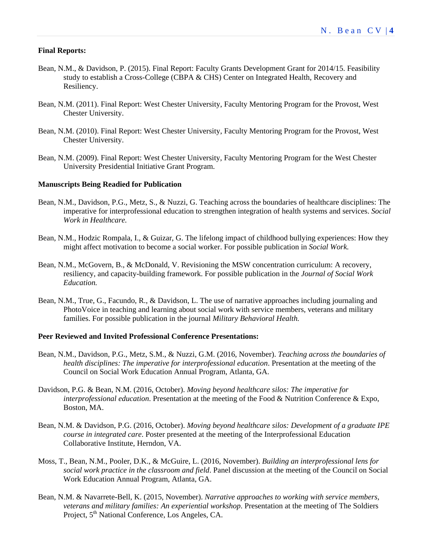#### **Final Reports:**

- Bean, N.M., & Davidson, P. (2015). Final Report: Faculty Grants Development Grant for 2014/15. Feasibility study to establish a Cross-College (CBPA & CHS) Center on Integrated Health, Recovery and Resiliency.
- Bean, N.M. (2011). Final Report: West Chester University, Faculty Mentoring Program for the Provost, West Chester University.
- Bean, N.M. (2010). Final Report: West Chester University, Faculty Mentoring Program for the Provost, West Chester University.
- Bean, N.M. (2009). Final Report: West Chester University, Faculty Mentoring Program for the West Chester University Presidential Initiative Grant Program.

#### **Manuscripts Being Readied for Publication**

- Bean, N.M., Davidson, P.G., Metz, S., & Nuzzi, G. Teaching across the boundaries of healthcare disciplines: The imperative for interprofessional education to strengthen integration of health systems and services. *Social Work in Healthcare.*
- Bean, N.M., Hodzic Rompala, I., & Guizar, G. The lifelong impact of childhood bullying experiences: How they might affect motivation to become a social worker. For possible publication in *Social Work.*
- Bean, N.M., McGovern, B., & McDonald, V. Revisioning the MSW concentration curriculum: A recovery, resiliency, and capacity-building framework. For possible publication in the *Journal of Social Work Education.*
- Bean, N.M., True, G., Facundo, R., & Davidson, L. The use of narrative approaches including journaling and PhotoVoice in teaching and learning about social work with service members, veterans and military families. For possible publication in the journal *Military Behavioral Health.*

#### **Peer Reviewed and Invited Professional Conference Presentations:**

- Bean, N.M., Davidson, P.G., Metz, S.M., & Nuzzi, G.M. (2016, November). *Teaching across the boundaries of health disciplines: The imperative for interprofessional education*. Presentation at the meeting of the Council on Social Work Education Annual Program, Atlanta, GA.
- Davidson, P.G. & Bean, N.M. (2016, October). *Moving beyond healthcare silos: The imperative for interprofessional education*. Presentation at the meeting of the Food & Nutrition Conference & Expo, Boston, MA.
- Bean, N.M. & Davidson, P.G. (2016, October). *Moving beyond healthcare silos: Development of a graduate IPE course in integrated care*. Poster presented at the meeting of the Interprofessional Education Collaborative Institute, Herndon, VA.
- Moss, T., Bean, N.M., Pooler, D.K., & McGuire, L. (2016, November). *Building an interprofessional lens for social work practice in the classroom and field*. Panel discussion at the meeting of the Council on Social Work Education Annual Program, Atlanta, GA.
- Bean, N.M. & Navarrete-Bell, K. (2015, November). *Narrative approaches to working with service members, veterans and military families: An experiential workshop*. Presentation at the meeting of The Soldiers Project, 5<sup>th</sup> National Conference, Los Angeles, CA.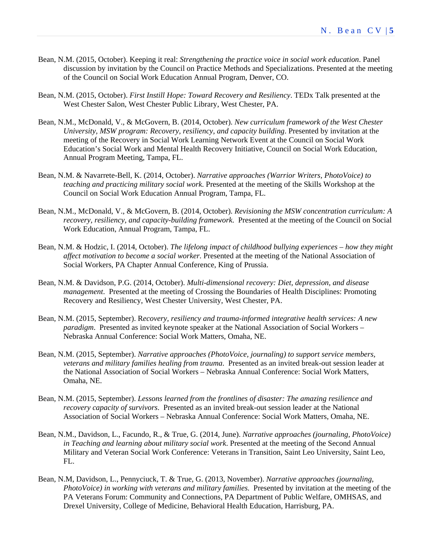- Bean, N.M. (2015, October). Keeping it real: *Strengthening the practice voice in social work education*. Panel discussion by invitation by the Council on Practice Methods and Specializations. Presented at the meeting of the Council on Social Work Education Annual Program, Denver, CO.
- Bean, N.M. (2015, October). *First Instill Hope: Toward Recovery and Resiliency*. TEDx Talk presented at the West Chester Salon, West Chester Public Library, West Chester, PA.
- Bean, N.M., McDonald, V., & McGovern, B. (2014, October). *New curriculum framework of the West Chester University, MSW program: Recovery, resiliency, and capacity building*. Presented by invitation at the meeting of the Recovery in Social Work Learning Network Event at the Council on Social Work Education's Social Work and Mental Health Recovery Initiative, Council on Social Work Education, Annual Program Meeting, Tampa, FL.
- Bean, N.M. & Navarrete-Bell, K. (2014, October). *Narrative approaches (Warrior Writers, PhotoVoice) to teaching and practicing military social work*. Presented at the meeting of the Skills Workshop at the Council on Social Work Education Annual Program, Tampa, FL.
- Bean, N.M., McDonald, V., & McGovern, B. (2014, October). *Revisioning the MSW concentration curriculum: A recovery, resiliency, and capacity-building framework*. Presented at the meeting of the Council on Social Work Education, Annual Program, Tampa, FL.
- Bean, N.M. & Hodzic, I. (2014, October). *The lifelong impact of childhood bullying experiences how they might affect motivation to become a social worker*. Presented at the meeting of the National Association of Social Workers, PA Chapter Annual Conference, King of Prussia.
- Bean, N.M. & Davidson, P.G. (2014, October). *Multi-dimensional recovery: Diet, depression, and disease management*. Presented at the meeting of Crossing the Boundaries of Health Disciplines: Promoting Recovery and Resiliency, West Chester University, West Chester, PA.
- Bean, N.M. (2015, September). R*ecovery, resiliency and trauma-informed integrative health services: A new paradigm*. Presented as invited keynote speaker at the National Association of Social Workers – Nebraska Annual Conference: Social Work Matters, Omaha, NE.
- Bean, N.M. (2015, September). *Narrative approaches (PhotoVoice, journaling) to support service members, veterans and military families healing from trauma*. Presented as an invited break-out session leader at the National Association of Social Workers – Nebraska Annual Conference: Social Work Matters, Omaha, NE.
- Bean, N.M. (2015, September). *Lessons learned from the frontlines of disaster: The amazing resilience and recovery capacity of survivors*. Presented as an invited break-out session leader at the National Association of Social Workers – Nebraska Annual Conference: Social Work Matters, Omaha, NE.
- Bean, N.M., Davidson, L., Facundo, R., & True, G. (2014, June). *Narrative approaches (journaling, PhotoVoice) in Teaching and learning about military social work*. Presented at the meeting of the Second Annual Military and Veteran Social Work Conference: Veterans in Transition, Saint Leo University, Saint Leo, FL.
- Bean, N.M, Davidson, L., Pennyciuck, T. & True, G. (2013, November). *Narrative approaches (journaling, PhotoVoice) in working with veterans and military families*. Presented by invitation at the meeting of the PA Veterans Forum: Community and Connections, PA Department of Public Welfare, OMHSAS, and Drexel University, College of Medicine, Behavioral Health Education, Harrisburg, PA.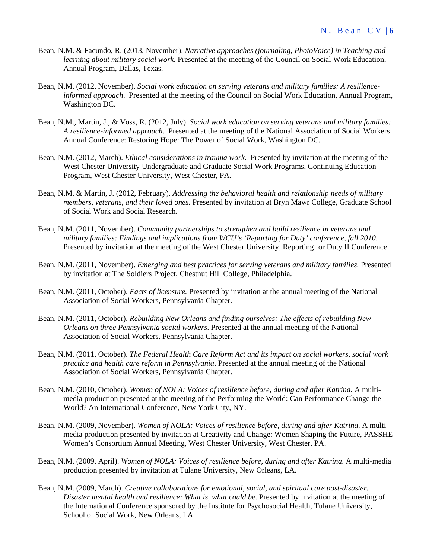- Bean, N.M. & Facundo, R. (2013, November). *Narrative approaches (journaling, PhotoVoice) in Teaching and learning about military social work*. Presented at the meeting of the Council on Social Work Education, Annual Program, Dallas, Texas.
- Bean, N.M. (2012, November). *Social work education on serving veterans and military families: A resilienceinformed approach*. Presented at the meeting of the Council on Social Work Education, Annual Program, Washington DC.
- Bean, N.M., Martin, J., & Voss, R. (2012, July). *Social work education on serving veterans and military families: A resilience-informed approach*. Presented at the meeting of the National Association of Social Workers Annual Conference: Restoring Hope: The Power of Social Work, Washington DC.
- Bean, N.M. (2012, March). *Ethical considerations in trauma work*. Presented by invitation at the meeting of the West Chester University Undergraduate and Graduate Social Work Programs, Continuing Education Program, West Chester University, West Chester, PA.
- Bean, N.M. & Martin, J. (2012, February). *Addressing the behavioral health and relationship needs of military members, veterans, and their loved ones*. Presented by invitation at Bryn Mawr College, Graduate School of Social Work and Social Research.
- Bean, N.M. (2011, November). *Community partnerships to strengthen and build resilience in veterans and military families: Findings and implications from WCU's 'Reporting for Duty' conference, fall 2010*. Presented by invitation at the meeting of the West Chester University, Reporting for Duty II Conference.
- Bean, N.M. (2011, November). *Emerging and best practices for serving veterans and military families*. Presented by invitation at The Soldiers Project, Chestnut Hill College, Philadelphia.
- Bean, N.M. (2011, October). *Facts of licensure.* Presented by invitation at the annual meeting of the National Association of Social Workers, Pennsylvania Chapter.
- Bean, N.M. (2011, October). *Rebuilding New Orleans and finding ourselves: The effects of rebuilding New Orleans on three Pennsylvania social workers*. Presented at the annual meeting of the National Association of Social Workers, Pennsylvania Chapter.
- Bean, N.M. (2011, October). *The Federal Health Care Reform Act and its impact on social workers, social work practice and health care reform in Pennsylvania*. Presented at the annual meeting of the National Association of Social Workers, Pennsylvania Chapter.
- Bean, N.M. (2010, October). *Women of NOLA: Voices of resilience before, during and after Katrina*. A multimedia production presented at the meeting of the Performing the World: Can Performance Change the World? An International Conference, New York City, NY.
- Bean, N.M. (2009, November). *Women of NOLA: Voices of resilience before, during and after Katrina*. A multimedia production presented by invitation at Creativity and Change: Women Shaping the Future, PASSHE Women's Consortium Annual Meeting, West Chester University, West Chester, PA.
- Bean, N.M. (2009, April). *Women of NOLA: Voices of resilience before, during and after Katrina*. A multi-media production presented by invitation at Tulane University, New Orleans, LA.
- Bean, N.M. (2009, March). *Creative collaborations for emotional, social, and spiritual care post-disaster. Disaster mental health and resilience: What is, what could be*. Presented by invitation at the meeting of the International Conference sponsored by the Institute for Psychosocial Health, Tulane University, School of Social Work, New Orleans, LA.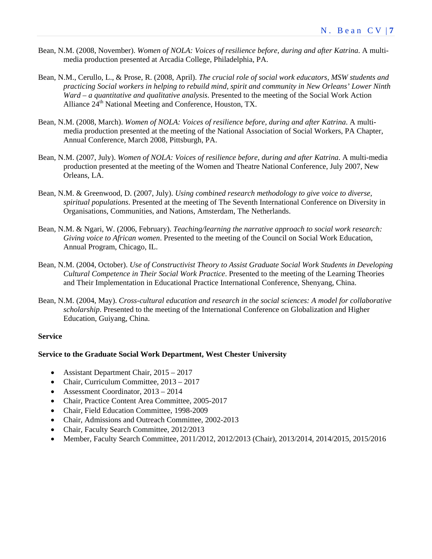- Bean, N.M. (2008, November). *Women of NOLA: Voices of resilience before, during and after Katrina*. A multimedia production presented at Arcadia College, Philadelphia, PA.
- Bean, N.M., Cerullo, L., & Prose, R. (2008, April). *The crucial role of social work educators, MSW students and practicing Social workers in helping to rebuild mind, spirit and community in New Orleans' Lower Ninth Ward – a quantitative and qualitative analysis*. Presented to the meeting of the Social Work Action Alliance 24<sup>th</sup> National Meeting and Conference, Houston, TX.
- Bean, N.M. (2008, March). *Women of NOLA: Voices of resilience before, during and after Katrina*. A multimedia production presented at the meeting of the National Association of Social Workers, PA Chapter, Annual Conference, March 2008, Pittsburgh, PA.
- Bean, N.M. (2007, July). *Women of NOLA: Voices of resilience before, during and after Katrina*. A multi-media production presented at the meeting of the Women and Theatre National Conference, July 2007, New Orleans, LA.
- Bean, N.M. & Greenwood, D. (2007, July). *Using combined research methodology to give voice to diverse, spiritual populations*. Presented at the meeting of The Seventh International Conference on Diversity in Organisations, Communities, and Nations, Amsterdam, The Netherlands.
- Bean, N.M. & Ngari, W. (2006, February). *Teaching/learning the narrative approach to social work research: Giving voice to African women*. Presented to the meeting of the Council on Social Work Education, Annual Program, Chicago, IL.
- Bean, N.M. (2004, October). *Use of Constructivist Theory to Assist Graduate Social Work Students in Developing Cultural Competence in Their Social Work Practice*. Presented to the meeting of the Learning Theories and Their Implementation in Educational Practice International Conference, Shenyang, China.
- Bean, N.M. (2004, May). *Cross-cultural education and research in the social sciences: A model for collaborative scholarship*. Presented to the meeting of the International Conference on Globalization and Higher Education, Guiyang, China.

## **Service**

#### **Service to the Graduate Social Work Department, West Chester University**

- Assistant Department Chair, 2015 2017
- Chair, Curriculum Committee, 2013 2017
- Assessment Coordinator, 2013 2014
- Chair, Practice Content Area Committee, 2005-2017
- Chair, Field Education Committee, 1998-2009
- Chair, Admissions and Outreach Committee, 2002-2013
- Chair, Faculty Search Committee, 2012/2013
- Member, Faculty Search Committee, 2011/2012, 2012/2013 (Chair), 2013/2014, 2014/2015, 2015/2016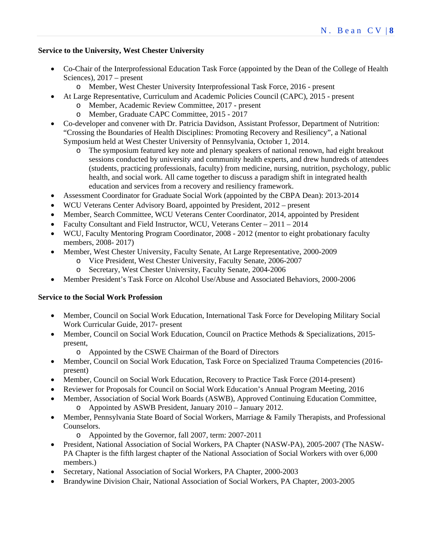## **Service to the University, West Chester University**

- Co-Chair of the Interprofessional Education Task Force (appointed by the Dean of the College of Health Sciences), 2017 – present
	- o Member, West Chester University Interprofessional Task Force, 2016 present
- At Large Representative, Curriculum and Academic Policies Council (CAPC), 2015 present
	- o Member, Academic Review Committee, 2017 present
		- o Member, Graduate CAPC Committee, 2015 2017
- Co-developer and convener with Dr. Patricia Davidson, Assistant Professor, Department of Nutrition: "Crossing the Boundaries of Health Disciplines: Promoting Recovery and Resiliency", a National Symposium held at West Chester University of Pennsylvania, October 1, 2014.
	- o The symposium featured key note and plenary speakers of national renown, had eight breakout sessions conducted by university and community health experts, and drew hundreds of attendees (students, practicing professionals, faculty) from medicine, nursing, nutrition, psychology, public health, and social work. All came together to discuss a paradigm shift in integrated health education and services from a recovery and resiliency framework.
- Assessment Coordinator for Graduate Social Work (appointed by the CBPA Dean): 2013-2014
- WCU Veterans Center Advisory Board, appointed by President, 2012 present
- Member, Search Committee, WCU Veterans Center Coordinator, 2014, appointed by President
- Faculty Consultant and Field Instructor, WCU, Veterans Center 2011 2014
- WCU, Faculty Mentoring Program Coordinator, 2008 2012 (mentor to eight probationary faculty members, 2008- 2017)
- Member, West Chester University, Faculty Senate, At Large Representative, 2000-2009
	- o Vice President, West Chester University, Faculty Senate, 2006-2007
	- o Secretary, West Chester University, Faculty Senate, 2004-2006
- Member President's Task Force on Alcohol Use/Abuse and Associated Behaviors, 2000-2006

## **Service to the Social Work Profession**

- Member, Council on Social Work Education, International Task Force for Developing Military Social Work Curricular Guide, 2017- present
- Member, Council on Social Work Education, Council on Practice Methods & Specializations, 2015 present,
	- o Appointed by the CSWE Chairman of the Board of Directors
- Member, Council on Social Work Education, Task Force on Specialized Trauma Competencies (2016 present)
- Member, Council on Social Work Education, Recovery to Practice Task Force (2014-present)
- Reviewer for Proposals for Council on Social Work Education's Annual Program Meeting, 2016
- Member, Association of Social Work Boards (ASWB), Approved Continuing Education Committee, o Appointed by ASWB President, January 2010 – January 2012.
- Member, Pennsylvania State Board of Social Workers, Marriage & Family Therapists, and Professional Counselors.
	- o Appointed by the Governor, fall 2007, term: 2007-2011
- President, National Association of Social Workers, PA Chapter (NASW-PA), 2005-2007 (The NASW-PA Chapter is the fifth largest chapter of the National Association of Social Workers with over 6,000 members.)
- Secretary, National Association of Social Workers, PA Chapter, 2000-2003
- Brandywine Division Chair, National Association of Social Workers, PA Chapter, 2003-2005